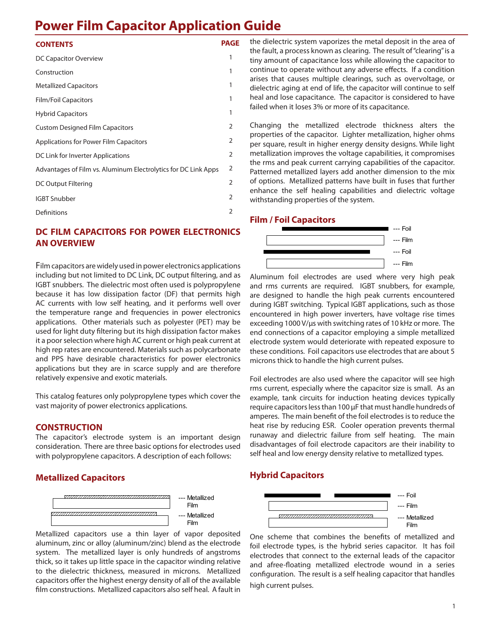# **Power Film Capacitor Application Guide**

## **CONTENTS PAGE**

| DC Capacitor Overview                                          | 1 |
|----------------------------------------------------------------|---|
| Construction                                                   | 1 |
| <b>Metallized Capacitors</b>                                   | 1 |
| <b>Film/Foil Capacitors</b>                                    | 1 |
| <b>Hybrid Capacitors</b>                                       | 1 |
| <b>Custom Designed Film Capacitors</b>                         | 2 |
| Applications for Power Film Capacitors                         | 2 |
| DC Link for Inverter Applications                              | 2 |
| Advantages of Film vs. Aluminum Electrolytics for DC Link Apps | 2 |
| DC Output Filtering                                            | 2 |
| <b>IGBT Snubber</b>                                            | 2 |
| Definitions                                                    | 2 |
|                                                                |   |

# **DC FILM CAPACITORS FOR POWER ELECTRONICS AN OVERVIEW**

Film capacitors are widely used in power electronics applications including but not limited to DC Link, DC output filtering, and as IGBT snubbers. The dielectric most often used is polypropylene because it has low dissipation factor (DF) that permits high AC currents with low self heating, and it performs well over the temperature range and frequencies in power electronics applications. Other materials such as polyester (PET) may be used for light duty filtering but its high dissipation factor makes it a poor selection where high AC current or high peak current at high rep rates are encountered. Materials such as polycarbonate and PPS have desirable characteristics for power electronics applications but they are in scarce supply and are therefore relatively expensive and exotic materials.

This catalog features only polypropylene types which cover the vast majority of power electronics applications.

# **CONSTRUCTION**

The capacitor's electrode system is an important design consideration. There are three basic options for electrodes used with polypropylene capacitors. A description of each follows:

# **Metallized Capacitors**



Metallized capacitors use a thin layer of vapor deposited aluminum, zinc or alloy (aluminum/zinc) blend as the electrode system. The metallized layer is only hundreds of angstroms thick, so it takes up little space in the capacitor winding relative to the dielectric thickness, measured in microns. Metallized capacitors offer the highest energy density of all of the available film constructions. Metallized capacitors also self heal. A fault in

the dielectric system vaporizes the metal deposit in the area of the fault, a process known as clearing. The result of "clearing" is a tiny amount of capacitance loss while allowing the capacitor to continue to operate without any adverse effects. If a condition arises that causes multiple clearings, such as overvoltage, or dielectric aging at end of life, the capacitor will continue to self heal and lose capacitance. The capacitor is considered to have failed when it loses 3% or more of its capacitance.

Changing the metallized electrode thickness alters the properties of the capacitor. Lighter metallization, higher ohms per square, result in higher energy density designs. While light metallization improves the voltage capabilities, it compromises the rms and peak current carrying capabilities of the capacitor. Patterned metallized layers add another dimension to the mix of options. Metallized patterns have built in fuses that further enhance the self healing capabilities and dielectric voltage withstanding properties of the system.

# **Film / Foil Capacitors**



Aluminum foil electrodes are used where very high peak and rms currents are required. IGBT snubbers, for example, are designed to handle the high peak currents encountered during IGBT switching. Typical IGBT applications, such as those encountered in high power inverters, have voltage rise times exceeding 1000 V/µs with switching rates of 10 kHz or more. The end connections of a capacitor employing a simple metallized electrode system would deteriorate with repeated exposure to these conditions. Foil capacitors use electrodes that are about 5 microns thick to handle the high current pulses.

Foil electrodes are also used where the capacitor will see high rms current, especially where the capacitor size is small. As an example, tank circuits for induction heating devices typically require capacitors less than 100 µF that must handle hundreds of amperes. The main benefit of the foil electrodes is to reduce the heat rise by reducing ESR. Cooler operation prevents thermal runaway and dielectric failure from self heating. The main disadvantages of foil electrode capacitors are their inability to self heal and low energy density relative to metallized types.

# **Hybrid Capacitors**



One scheme that combines the benefits of metallized and foil electrode types, is the hybrid series capacitor. It has foil electrodes that connect to the external leads of the capacitor and afree-floating metallized electrode wound in a series configuration. The result is a self healing capacitor that handles high current pulses.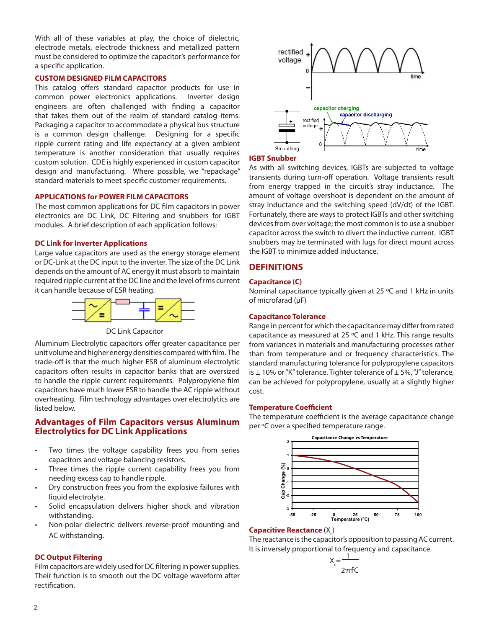With all of these variables at play, the choice of dielectric, electrode metals, electrode thickness and metallized pattern must be considered to optimize the capacitor's performance for a specific application.

#### **CUSTOM DESIGNED FILM CAPACITORS**

This catalog offers standard capacitor products for use in common power electronics applications. Inverter design engineers are often challenged with finding a capacitor that takes them out of the realm of standard catalog items. Packaging a capacitor to accommodate a physical bus structure is a common design challenge. Designing for a specific ripple current rating and life expectancy at a given ambient temperature is another consideration that usually requires custom solution. CDE is highly experienced in custom capacitor design and manufacturing. Where possible, we "repackage" standard materials to meet specific customer requirements.

## **APPLICATIONS for POWER FILM CAPACITORS**

The most common applications for DC film capacitors in power electronics are DC Link, DC Filtering and snubbers for IGBT modules. A brief description of each application follows:

## **DC Link for Inverter Applications**

Large value capacitors are used as the energy storage element or DC-Link at the DC input to the inverter. The size of the DC Link depends on the amount of AC energy it must absorb to maintain required ripple current at the DC line and the level of rms current it can handle because of ESR heating.



DC Link Capacitor

Aluminum Electrolytic capacitors offer greater capacitance per unit volume and higher energy densities compared with film. The trade-off is that the much higher ESR of aluminum electrolytic capacitors often results in capacitor banks that are oversized to handle the ripple current requirements. Polypropylene film capacitors have much lower ESR to handle the AC ripple without overheating. Film technology advantages over electrolytics are listed below.

# **Advantages of Film Capacitors versus Aluminum Electrolytics for DC Link Applications**

- Two times the voltage capability frees you from series capacitors and voltage balancing resistors.
- Three times the ripple current capability frees you from needing excess cap to handle ripple.
- Dry construction frees you from the explosive failures with liquid electrolyte.
- Solid encapsulation delivers higher shock and vibration withstanding.
- Non-polar dielectric delivers reverse-proof mounting and AC withstanding.

## **DC Output Filtering**

Film capacitors are widely used for DC filtering in power supplies. Their function is to smooth out the DC voltage waveform after rectification.



## **IGBT Snubber**

As with all switching devices, IGBTs are subjected to voltage transients during turn-off operation. Voltage transients result from energy trapped in the circuit's stray inductance. The amount of voltage overshoot is dependent on the amount of stray inductance and the switching speed (dV/dt) of the IGBT. Fortunately, there are ways to protect IGBTs and other switching devices from over voltage; the most common is to use a snubber capacitor across the switch to divert the inductive current. IGBT snubbers may be terminated with lugs for direct mount across the IGBT to minimize added inductance.

# **DEFINITIONS**

## **Capacitance (C)**

Nominal capacitance typically given at 25 ºC and 1 kHz in units of microfarad (μF)

## **Capacitance Tolerance**

Range in percent for which the capacitance may differ from rated capacitance as measured at 25 ºC and 1 kHz. This range results from variances in materials and manufacturing processes rather than from temperature and or frequency characteristics. The standard manufacturing tolerance for polypropylene capacitors is  $\pm$  10% or "K" tolerance. Tighter tolerance of  $\pm$  5%, "J" tolerance, can be achieved for polypropylene, usually at a slightly higher cost.

#### **Temperature Coefficient**

The temperature coefficient is the average capacitance change per ºC over a specified temperature range.



# **Capacitive Reactance** (X<sub>c</sub>)

The reactance is the capacitor's opposition to passing AC current. It is inversely proportional to frequency and capacitance.

$$
X_c = \frac{1}{2\pi fC}
$$